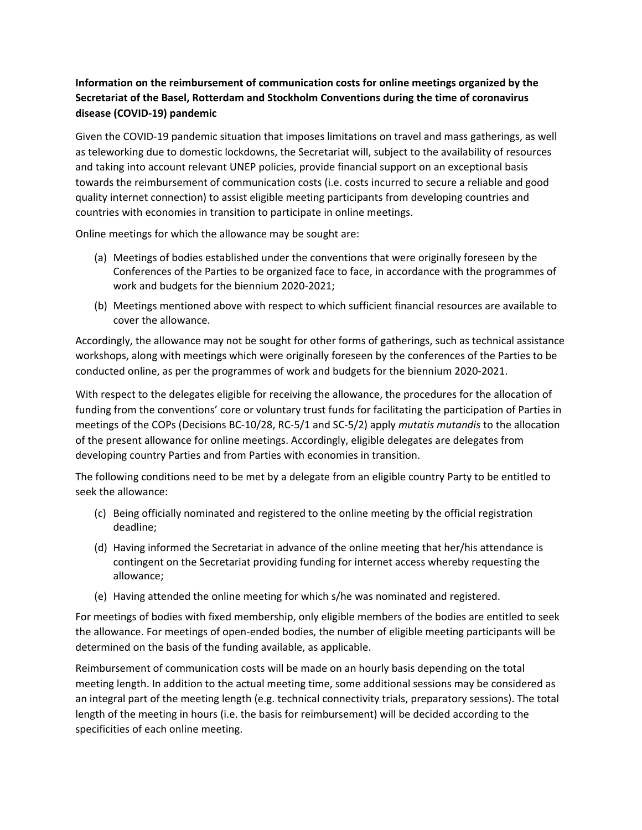## **Information on the reimbursement of communication costs for online meetings organized by the Secretariat of the Basel, Rotterdam and Stockholm Conventions during the time of coronavirus disease (COVID‐19) pandemic**

Given the COVID‐19 pandemic situation that imposes limitations on travel and mass gatherings, as well as teleworking due to domestic lockdowns, the Secretariat will, subject to the availability of resources and taking into account relevant UNEP policies, provide financial support on an exceptional basis towards the reimbursement of communication costs (i.e. costs incurred to secure a reliable and good quality internet connection) to assist eligible meeting participants from developing countries and countries with economies in transition to participate in online meetings.

Online meetings for which the allowance may be sought are:

- (a) Meetings of bodies established under the conventions that were originally foreseen by the Conferences of the Parties to be organized face to face, in accordance with the programmes of work and budgets for the biennium 2020‐2021;
- (b) Meetings mentioned above with respect to which sufficient financial resources are available to cover the allowance.

Accordingly, the allowance may not be sought for other forms of gatherings, such as technical assistance workshops, along with meetings which were originally foreseen by the conferences of the Parties to be conducted online, as per the programmes of work and budgets for the biennium 2020‐2021.

With respect to the delegates eligible for receiving the allowance, the procedures for the allocation of funding from the conventions' core or voluntary trust funds for facilitating the participation of Parties in meetings of the COPs (Decisions BC‐10/28, RC‐5/1 and SC‐5/2) apply *mutatis mutandis* to the allocation of the present allowance for online meetings. Accordingly, eligible delegates are delegates from developing country Parties and from Parties with economies in transition.

The following conditions need to be met by a delegate from an eligible country Party to be entitled to seek the allowance:

- (c) Being officially nominated and registered to the online meeting by the official registration deadline;
- (d) Having informed the Secretariat in advance of the online meeting that her/his attendance is contingent on the Secretariat providing funding for internet access whereby requesting the allowance;
- (e) Having attended the online meeting for which s/he was nominated and registered.

For meetings of bodies with fixed membership, only eligible members of the bodies are entitled to seek the allowance. For meetings of open‐ended bodies, the number of eligible meeting participants will be determined on the basis of the funding available, as applicable.

Reimbursement of communication costs will be made on an hourly basis depending on the total meeting length. In addition to the actual meeting time, some additional sessions may be considered as an integral part of the meeting length (e.g. technical connectivity trials, preparatory sessions). The total length of the meeting in hours (i.e. the basis for reimbursement) will be decided according to the specificities of each online meeting.